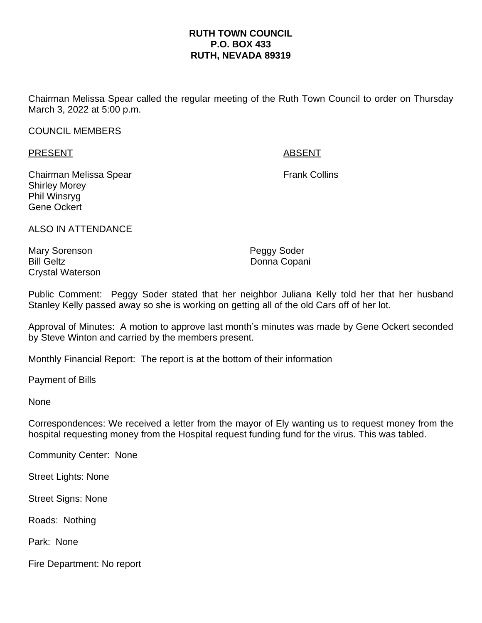## **RUTH TOWN COUNCIL P.O. BOX 433 RUTH, NEVADA 89319**

Chairman Melissa Spear called the regular meeting of the Ruth Town Council to order on Thursday March 3, 2022 at 5:00 p.m.

## COUNCIL MEMBERS

PRESENT ABSENT

Chairman Melissa Spear **Frank Collins** Frank Collins Shirley Morey Phil Winsryg Gene Ockert

ALSO IN ATTENDANCE

Mary Sorenson **Peggy Soder** Bill Geltz **Donna Copani** Crystal Waterson

Public Comment: Peggy Soder stated that her neighbor Juliana Kelly told her that her husband Stanley Kelly passed away so she is working on getting all of the old Cars off of her lot.

Approval of Minutes: A motion to approve last month's minutes was made by Gene Ockert seconded by Steve Winton and carried by the members present.

Monthly Financial Report: The report is at the bottom of their information

Payment of Bills

None

Correspondences: We received a letter from the mayor of Ely wanting us to request money from the hospital requesting money from the Hospital request funding fund for the virus. This was tabled.

Community Center: None

Street Lights: None

Street Signs: None

Roads: Nothing

Park: None

Fire Department: No report